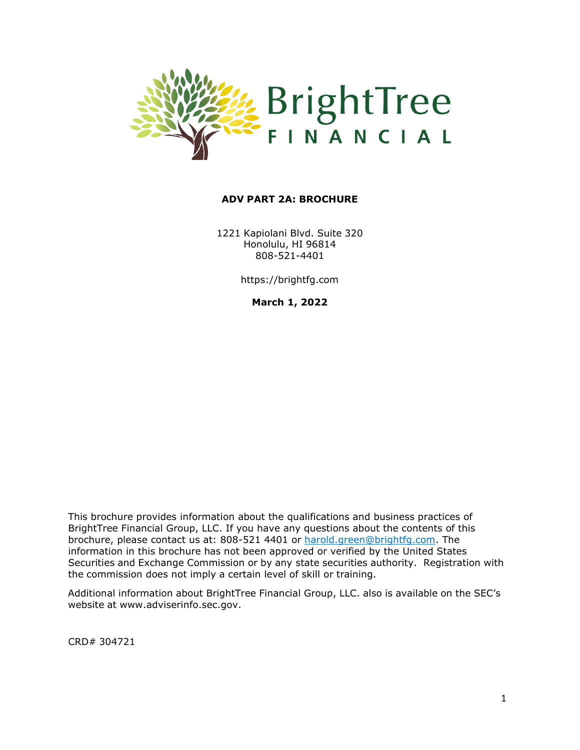

#### **ADV PART 2A: BROCHURE**

1221 Kapiolani Blvd. Suite 320 Honolulu, HI 96814 808-521-4401

https://brightfg.com

**March 1, 2022**

This brochure provides information about the qualifications and business practices of BrightTree Financial Group, LLC. If you have any questions about the contents of this brochure, please contact us at: 808-521 4401 or [harold.green@brightfg.com. T](mailto:harold.green@brightfg.com)he information in this brochure has not been approved or verified by the United States Securities and Exchange Commission or by any state securities authority. Registration with the commission does not imply a certain level of skill or training.

Additional information about BrightTree Financial Group, LLC. also is available on the SEC's website at [www.adviserinfo.sec.gov.](http://www.adviserinfo.sec.gov/)

CRD# 304721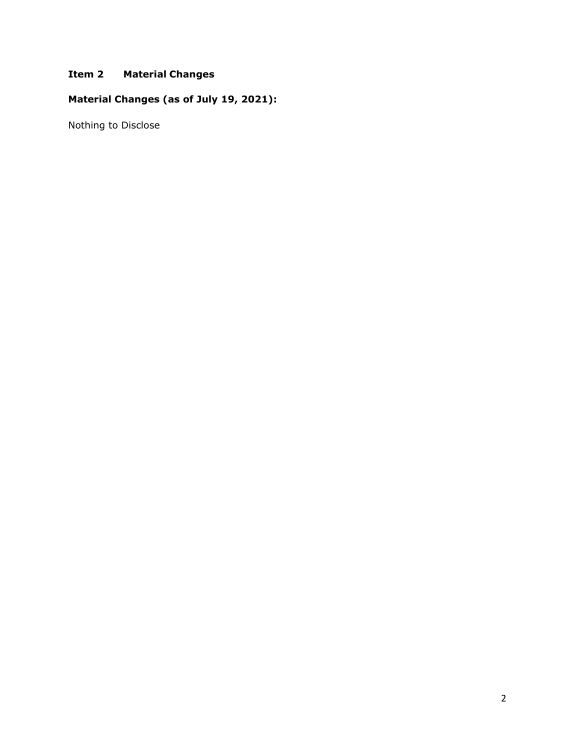# **Item 2 Material Changes**

# **Material Changes (as of July 19, 2021):**

Nothing to Disclose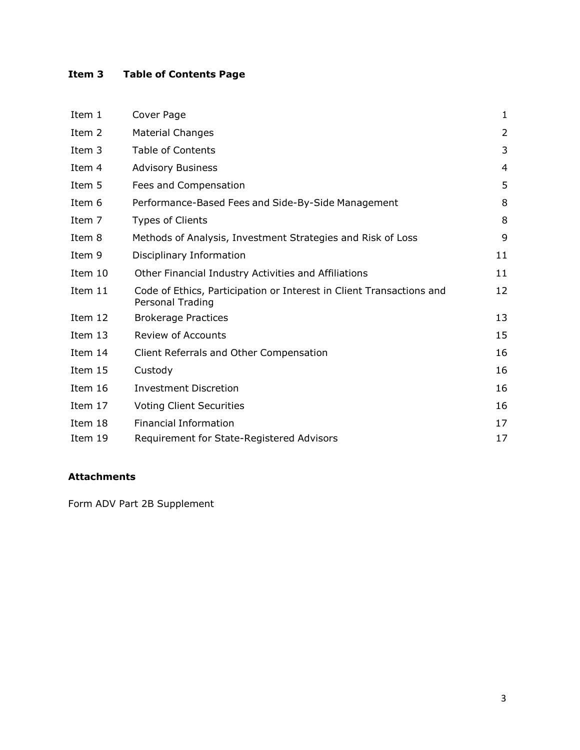# **Item 3 Table of Contents Page**

| Item 1  | Cover Page                                                                               | 1  |
|---------|------------------------------------------------------------------------------------------|----|
| Item 2  | <b>Material Changes</b>                                                                  | 2  |
| Item 3  | <b>Table of Contents</b>                                                                 | 3  |
| Item 4  | <b>Advisory Business</b>                                                                 | 4  |
| Item 5  | Fees and Compensation                                                                    | 5  |
| Item 6  | Performance-Based Fees and Side-By-Side Management                                       | 8  |
| Item 7  | <b>Types of Clients</b>                                                                  | 8  |
| Item 8  | Methods of Analysis, Investment Strategies and Risk of Loss                              | 9  |
| Item 9  | Disciplinary Information                                                                 | 11 |
| Item 10 | Other Financial Industry Activities and Affiliations                                     | 11 |
| Item 11 | Code of Ethics, Participation or Interest in Client Transactions and<br>Personal Trading | 12 |
| Item 12 | <b>Brokerage Practices</b>                                                               | 13 |
| Item 13 | <b>Review of Accounts</b>                                                                | 15 |
| Item 14 | Client Referrals and Other Compensation                                                  | 16 |
| Item 15 | Custody                                                                                  | 16 |
| Item 16 | <b>Investment Discretion</b>                                                             | 16 |
| Item 17 | <b>Voting Client Securities</b>                                                          | 16 |
| Item 18 | <b>Financial Information</b>                                                             | 17 |
| Item 19 | Requirement for State-Registered Advisors                                                | 17 |

# **Attachments**

Form ADV Part 2B Supplement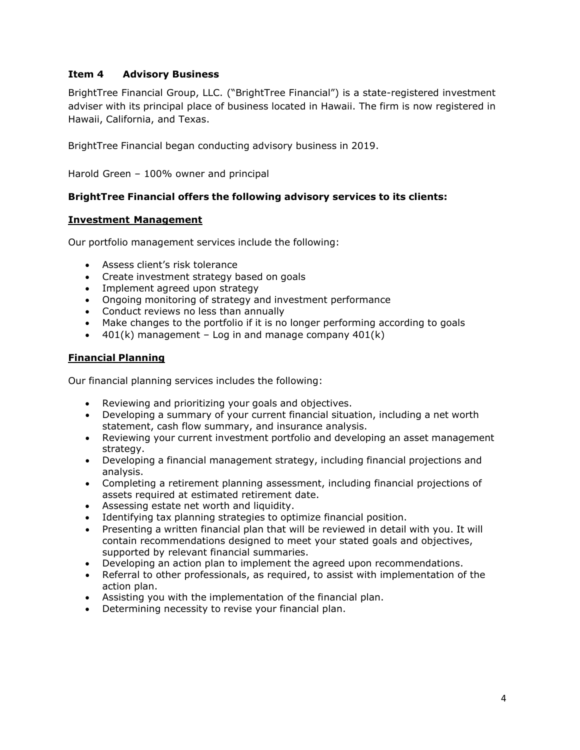# **Item 4 Advisory Business**

BrightTree Financial Group, LLC. ("BrightTree Financial") is a state-registered investment adviser with its principal place of business located in Hawaii. The firm is now registered in Hawaii, California, and Texas.

BrightTree Financial began conducting advisory business in 2019.

Harold Green – 100% owner and principal

#### **BrightTree Financial offers the following advisory services to its clients:**

#### **Investment Management**

Our portfolio management services include the following:

- Assess client's risk tolerance
- Create investment strategy based on goals
- Implement agreed upon strategy
- Ongoing monitoring of strategy and investment performance
- Conduct reviews no less than annually
- Make changes to the portfolio if it is no longer performing according to goals
- $\bullet$  401(k) management Log in and manage company 401(k)

#### **Financial Planning**

Our financial planning services includes the following:

- Reviewing and prioritizing your goals and objectives.
- Developing a summary of your current financial situation, including a net worth statement, cash flow summary, and insurance analysis.
- Reviewing your current investment portfolio and developing an asset management strategy.
- Developing a financial management strategy, including financial projections and analysis.
- Completing a retirement planning assessment, including financial projections of assets required at estimated retirement date.
- Assessing estate net worth and liquidity.
- Identifying tax planning strategies to optimize financial position.
- Presenting a written financial plan that will be reviewed in detail with you. It will contain recommendations designed to meet your stated goals and objectives, supported by relevant financial summaries.
- Developing an action plan to implement the agreed upon recommendations.
- Referral to other professionals, as required, to assist with implementation of the action plan.
- Assisting you with the implementation of the financial plan.
- Determining necessity to revise your financial plan.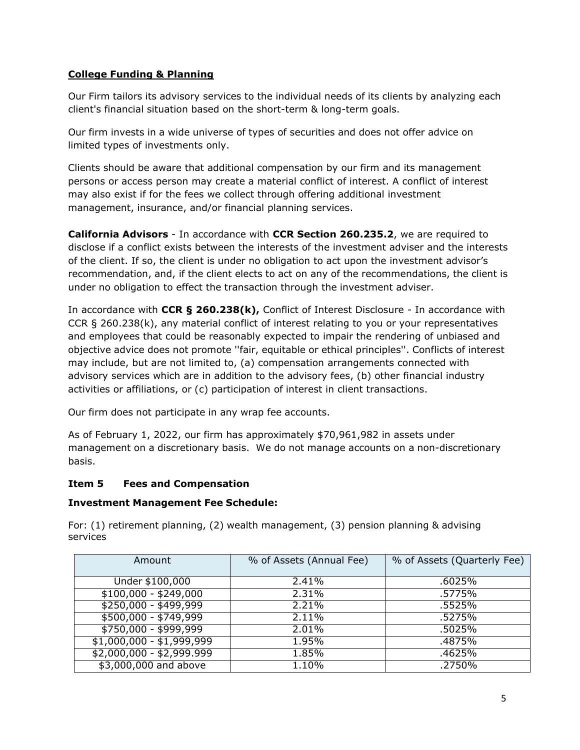# **College Funding & Planning**

Our Firm tailors its advisory services to the individual needs of its clients by analyzing each client's financial situation based on the short-term & long-term goals.

Our firm invests in a wide universe of types of securities and does not offer advice on limited types of investments only.

Clients should be aware that additional compensation by our firm and its management persons or access person may create a material conflict of interest. A conflict of interest may also exist if for the fees we collect through offering additional investment management, insurance, and/or financial planning services.

**California Advisors** - In accordance with **CCR Section 260.235.2**, we are required to disclose if a conflict exists between the interests of the investment adviser and the interests of the client. If so, the client is under no obligation to act upon the investment advisor's recommendation, and, if the client elects to act on any of the recommendations, the client is under no obligation to effect the transaction through the investment adviser.

In accordance with **CCR § 260.238(k),** Conflict of Interest Disclosure - In accordance with CCR § 260.238(k), any material conflict of interest relating to you or your representatives and employees that could be reasonably expected to impair the rendering of unbiased and objective advice does not promote ''fair, equitable or ethical principles''. Conflicts of interest may include, but are not limited to, (a) compensation arrangements connected with advisory services which are in addition to the advisory fees, (b) other financial industry activities or affiliations, or (c) participation of interest in client transactions.

Our firm does not participate in any wrap fee accounts.

As of February 1, 2022, our firm has approximately \$70,961,982 in assets under management on a discretionary basis. We do not manage accounts on a non-discretionary basis.

# **Item 5 Fees and Compensation**

# **Investment Management Fee Schedule:**

| Amount                    | % of Assets (Annual Fee) | % of Assets (Quarterly Fee) |
|---------------------------|--------------------------|-----------------------------|
|                           |                          |                             |
| Under \$100,000           | 2.41%                    | .6025%                      |
| $$100,000 - $249,000$     | $\overline{2.31\%}$      | .5775%                      |
| $$250,000 - $499,999$     | $\sqrt{2.21\%}$          | .5525%                      |
| $$500,000 - $749,999$     | 2.11%                    | .5275%                      |
| $$750,000 - $999,999$     | 2.01%                    | .5025%                      |
| $$1,000,000 - $1,999,999$ | 1.95%                    | .4875%                      |
| $$2,000,000 - $2,999.999$ | 1.85%                    | .4625%                      |
| \$3,000,000 and above     | 1.10%                    | .2750%                      |

For: (1) retirement planning, (2) wealth management, (3) pension planning & advising services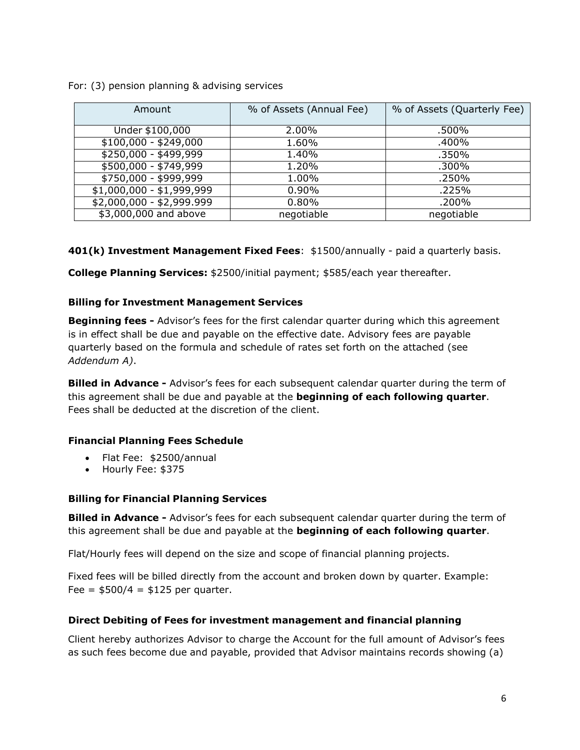#### For: (3) pension planning & advising services

| Amount                    | % of Assets (Annual Fee) | % of Assets (Quarterly Fee) |
|---------------------------|--------------------------|-----------------------------|
|                           |                          |                             |
| Under \$100,000           | 2.00%                    | .500%                       |
| $$100,000 - $249,000$     | 1.60%                    | .400%                       |
| $$250,000 - $499,999$     | 1.40%                    | .350%                       |
| $$500,000 - $749,999$     | 1.20%                    | .300%                       |
| \$750,000 - \$999,999     | 1.00%                    | .250%                       |
| $$1,000,000 - $1,999,999$ | 0.90%                    | .225%                       |
| $$2,000,000 - $2,999.999$ | 0.80%                    | .200%                       |
| \$3,000,000 and above     | negotiable               | negotiable                  |

**401(k) Investment Management Fixed Fees**: \$1500/annually - paid a quarterly basis.

**College Planning Services:** \$2500/initial payment; \$585/each year thereafter.

# **Billing for Investment Management Services**

**Beginning fees -** Advisor's fees for the first calendar quarter during which this agreement is in effect shall be due and payable on the effective date. Advisory fees are payable quarterly based on the formula and schedule of rates set forth on the attached (see *Addendum A)*.

**Billed in Advance -** Advisor's fees for each subsequent calendar quarter during the term of this agreement shall be due and payable at the **beginning of each following quarter**. Fees shall be deducted at the discretion of the client.

# **Financial Planning Fees Schedule**

- Flat Fee: \$2500/annual
- Hourly Fee: \$375

# **Billing for Financial Planning Services**

**Billed in Advance -** Advisor's fees for each subsequent calendar quarter during the term of this agreement shall be due and payable at the **beginning of each following quarter**.

Flat/Hourly fees will depend on the size and scope of financial planning projects.

Fixed fees will be billed directly from the account and broken down by quarter. Example: Fee =  $$500/4 = $125$  per quarter.

# **Direct Debiting of Fees for investment management and financial planning**

Client hereby authorizes Advisor to charge the Account for the full amount of Advisor's fees as such fees become due and payable, provided that Advisor maintains records showing (a)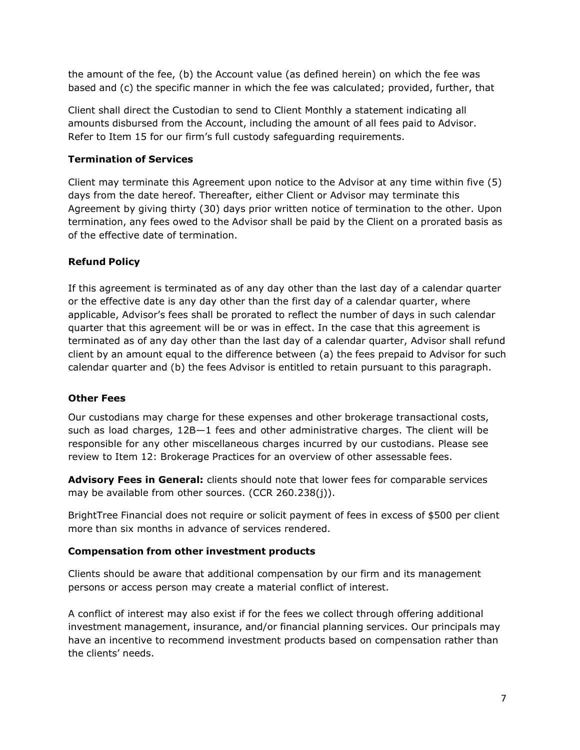the amount of the fee, (b) the Account value (as defined herein) on which the fee was based and (c) the specific manner in which the fee was calculated; provided, further, that

Client shall direct the Custodian to send to Client Monthly a statement indicating all amounts disbursed from the Account, including the amount of all fees paid to Advisor. Refer to Item 15 for our firm's full custody safeguarding requirements.

#### **Termination of Services**

Client may terminate this Agreement upon notice to the Advisor at any time within five (5) days from the date hereof. Thereafter, either Client or Advisor may terminate this Agreement by giving thirty (30) days prior written notice of termination to the other. Upon termination, any fees owed to the Advisor shall be paid by the Client on a prorated basis as of the effective date of termination.

# **Refund Policy**

If this agreement is terminated as of any day other than the last day of a calendar quarter or the effective date is any day other than the first day of a calendar quarter, where applicable, Advisor's fees shall be prorated to reflect the number of days in such calendar quarter that this agreement will be or was in effect. In the case that this agreement is terminated as of any day other than the last day of a calendar quarter, Advisor shall refund client by an amount equal to the difference between (a) the fees prepaid to Advisor for such calendar quarter and (b) the fees Advisor is entitled to retain pursuant to this paragraph.

#### **Other Fees**

Our custodians may charge for these expenses and other brokerage transactional costs, such as load charges, 12B—1 fees and other administrative charges. The client will be responsible for any other miscellaneous charges incurred by our custodians. Please see review to Item 12: Brokerage Practices for an overview of other assessable fees.

**Advisory Fees in General:** clients should note that lower fees for comparable services may be available from other sources. (CCR 260.238(j)).

BrightTree Financial does not require or solicit payment of fees in excess of \$500 per client more than six months in advance of services rendered.

#### **Compensation from other investment products**

Clients should be aware that additional compensation by our firm and its management persons or access person may create a material conflict of interest.

A conflict of interest may also exist if for the fees we collect through offering additional investment management, insurance, and/or financial planning services. Our principals may have an incentive to recommend investment products based on compensation rather than the clients' needs.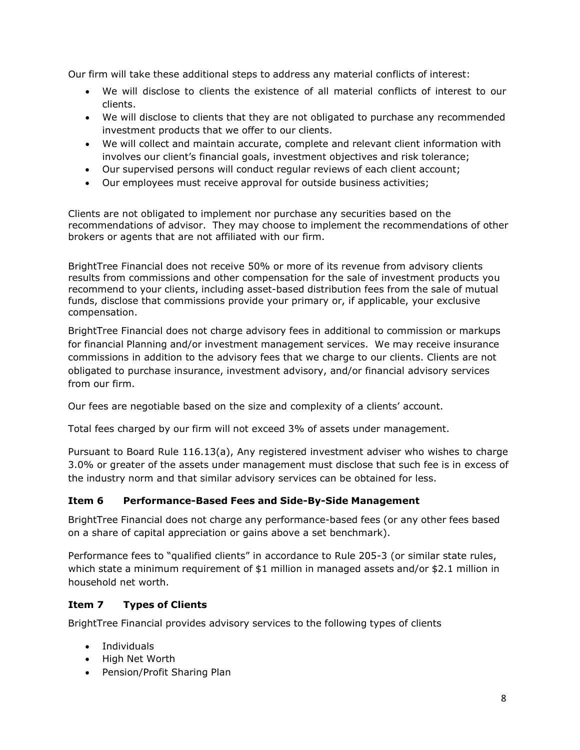Our firm will take these additional steps to address any material conflicts of interest:

- We will disclose to clients the existence of all material conflicts of interest to our clients.
- We will disclose to clients that they are not obligated to purchase any recommended investment products that we offer to our clients.
- We will collect and maintain accurate, complete and relevant client information with involves our client's financial goals, investment objectives and risk tolerance;
- Our supervised persons will conduct regular reviews of each client account;
- Our employees must receive approval for outside business activities;

Clients are not obligated to implement nor purchase any securities based on the recommendations of advisor. They may choose to implement the recommendations of other brokers or agents that are not affiliated with our firm.

BrightTree Financial does not receive 50% or more of its revenue from advisory clients results from commissions and other compensation for the sale of investment products you recommend to your clients, including asset-based distribution fees from the sale of mutual funds, disclose that commissions provide your primary or, if applicable, your exclusive compensation.

BrightTree Financial does not charge advisory fees in additional to commission or markups for financial Planning and/or investment management services. We may receive insurance commissions in addition to the advisory fees that we charge to our clients. Clients are not obligated to purchase insurance, investment advisory, and/or financial advisory services from our firm.

Our fees are negotiable based on the size and complexity of a clients' account.

Total fees charged by our firm will not exceed 3% of assets under management.

Pursuant to Board Rule 116.13(a), Any registered investment adviser who wishes to charge 3.0% or greater of the assets under management must disclose that such fee is in excess of the industry norm and that similar advisory services can be obtained for less.

# **Item 6 Performance-Based Fees and Side-By-Side Management**

BrightTree Financial does not charge any performance-based fees (or any other fees based on a share of capital appreciation or gains above a set benchmark).

Performance fees to "qualified clients" in accordance to Rule 205-3 (or similar state rules, which state a minimum requirement of \$1 million in managed assets and/or \$2.1 million in household net worth.

# **Item 7 Types of Clients**

BrightTree Financial provides advisory services to the following types of clients

- Individuals
- High Net Worth
- Pension/Profit Sharing Plan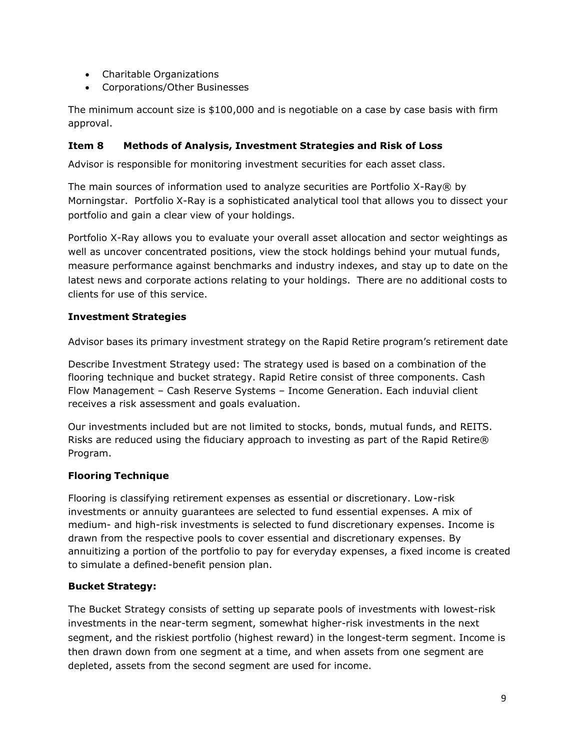- Charitable Organizations
- Corporations/Other Businesses

The minimum account size is \$100,000 and is negotiable on a case by case basis with firm approval.

# **Item 8 Methods of Analysis, Investment Strategies and Risk of Loss**

Advisor is responsible for monitoring investment securities for each asset class.

The main sources of information used to analyze securities are Portfolio X-Ray® by Morningstar. Portfolio X-Ray is a sophisticated analytical tool that allows you to dissect your portfolio and gain a clear view of your holdings.

Portfolio X-Ray allows you to evaluate your overall asset allocation and sector weightings as well as uncover concentrated positions, view the stock holdings behind your mutual funds, measure performance against benchmarks and industry indexes, and stay up to date on the latest news and corporate actions relating to your holdings. There are no additional costs to clients for use of this service.

# **Investment Strategies**

Advisor bases its primary investment strategy on the Rapid Retire program's retirement date

Describe Investment Strategy used: The strategy used is based on a combination of the flooring technique and bucket strategy. Rapid Retire consist of three components. Cash Flow Management – Cash Reserve Systems – Income Generation. Each induvial client receives a risk assessment and goals evaluation.

Our investments included but are not limited to stocks, bonds, mutual funds, and REITS. Risks are reduced using the fiduciary approach to investing as part of the Rapid Retire® Program.

# **Flooring Technique**

Flooring is classifying retirement expenses as essential or discretionary. Low-risk investments or annuity guarantees are selected to fund essential expenses. A mix of medium- and high-risk investments is selected to fund discretionary expenses. Income is drawn from the respective pools to cover essential and discretionary expenses. By annuitizing a portion of the portfolio to pay for everyday expenses, a fixed income is created to simulate a defined-benefit pension plan.

# **Bucket Strategy:**

The Bucket Strategy consists of setting up separate pools of investments with lowest-risk investments in the near-term segment, somewhat higher-risk investments in the next segment, and the riskiest portfolio (highest reward) in the longest-term segment. Income is then drawn down from one segment at a time, and when assets from one segment are depleted, assets from the second segment are used for income.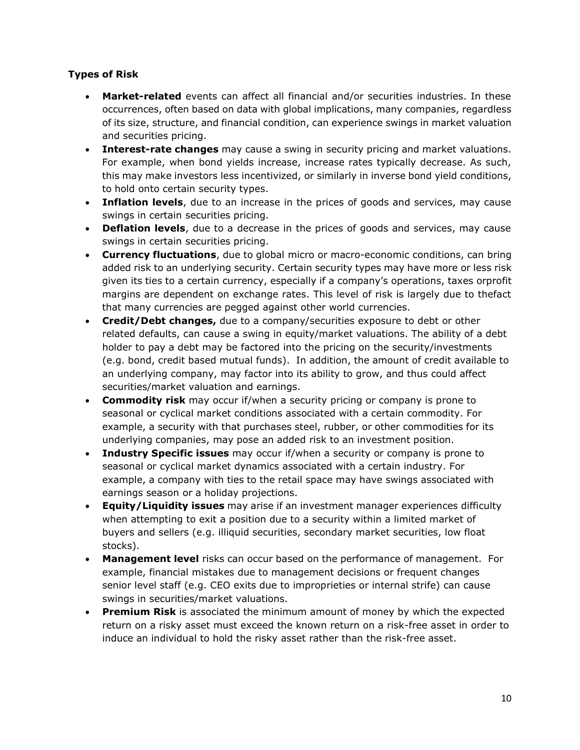# **Types of Risk**

- **Market-related** events can affect all financial and/or securities industries. In these occurrences, often based on data with global implications, many companies, regardless of its size, structure, and financial condition, can experience swings in market valuation and securities pricing.
- **Interest-rate changes** may cause a swing in security pricing and market valuations. For example, when bond yields increase, increase rates typically decrease. As such, this may make investors less incentivized, or similarly in inverse bond yield conditions, to hold onto certain security types.
- **Inflation levels**, due to an increase in the prices of goods and services, may cause swings in certain securities pricing.
- **Deflation levels**, due to a decrease in the prices of goods and services, may cause swings in certain securities pricing.
- **Currency fluctuations**, due to global micro or macro-economic conditions, can bring added risk to an underlying security. Certain security types may have more or less risk given its ties to a certain currency, especially if a company's operations, taxes orprofit margins are dependent on exchange rates. This level of risk is largely due to thefact that many currencies are pegged against other world currencies.
- **Credit/Debt changes,** due to a company/securities exposure to debt or other related defaults, can cause a swing in equity/market valuations. The ability of a debt holder to pay a debt may be factored into the pricing on the security/investments (e.g. bond, credit based mutual funds). In addition, the amount of credit available to an underlying company, may factor into its ability to grow, and thus could affect securities/market valuation and earnings.
- **Commodity risk** may occur if/when a security pricing or company is prone to seasonal or cyclical market conditions associated with a certain commodity. For example, a security with that purchases steel, rubber, or other commodities for its underlying companies, may pose an added risk to an investment position.
- **Industry Specific issues** may occur if/when a security or company is prone to seasonal or cyclical market dynamics associated with a certain industry. For example, a company with ties to the retail space may have swings associated with earnings season or a holiday projections.
- **Equity/Liquidity issues** may arise if an investment manager experiences difficulty when attempting to exit a position due to a security within a limited market of buyers and sellers (e.g. illiquid securities, secondary market securities, low float stocks).
- **Management level** risks can occur based on the performance of management. For example, financial mistakes due to management decisions or frequent changes senior level staff (e.g. CEO exits due to improprieties or internal strife) can cause swings in securities/market valuations.
- **Premium Risk** is associated the minimum amount of money by which the expected return on a risky asset must exceed the known return on a risk-free asset in order to induce an individual to hold the risky asset rather than the risk-free asset.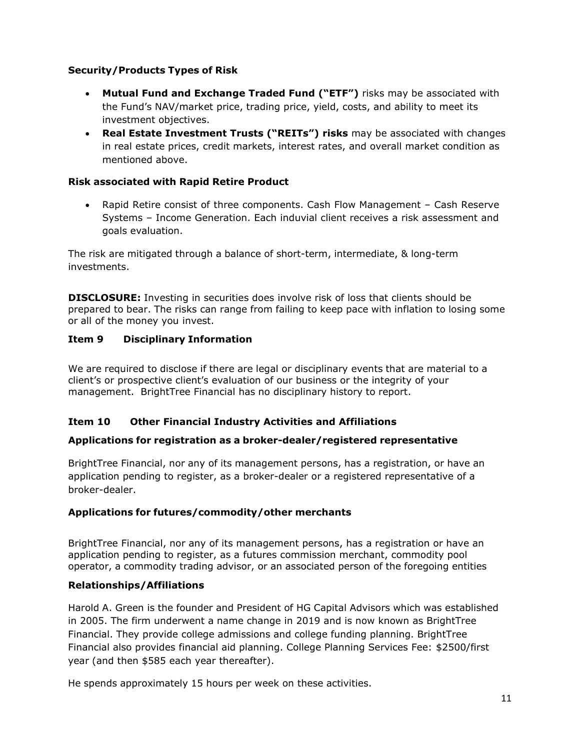# **Security/Products Types of Risk**

- **Mutual Fund and Exchange Traded Fund ("ETF")** risks may be associated with the Fund's NAV/market price, trading price, yield, costs, and ability to meet its investment objectives.
- **Real Estate Investment Trusts ("REITs") risks** may be associated with changes in real estate prices, credit markets, interest rates, and overall market condition as mentioned above.

# **Risk associated with Rapid Retire Product**

• Rapid Retire consist of three components. Cash Flow Management – Cash Reserve Systems – Income Generation. Each induvial client receives a risk assessment and goals evaluation.

The risk are mitigated through a balance of short-term, intermediate, & long-term investments.

**DISCLOSURE:** Investing in securities does involve risk of loss that clients should be prepared to bear. The risks can range from failing to keep pace with inflation to losing some or all of the money you invest.

# **Item 9 Disciplinary Information**

We are required to disclose if there are legal or disciplinary events that are material to a client's or prospective client's evaluation of our business or the integrity of your management. BrightTree Financial has no disciplinary history to report.

# **Item 10 Other Financial Industry Activities and Affiliations**

# **Applications for registration as a broker-dealer/registered representative**

BrightTree Financial, nor any of its management persons, has a registration, or have an application pending to register, as a broker-dealer or a registered representative of a broker-dealer.

# **Applications for futures/commodity/other merchants**

BrightTree Financial, nor any of its management persons, has a registration or have an application pending to register, as a futures commission merchant, commodity pool operator, a commodity trading advisor, or an associated person of the foregoing entities

# **Relationships/Affiliations**

Harold A. Green is the founder and President of HG Capital Advisors which was established in 2005. The firm underwent a name change in 2019 and is now known as BrightTree Financial. They provide college admissions and college funding planning. BrightTree Financial also provides financial aid planning. College Planning Services Fee: \$2500/first year (and then \$585 each year thereafter).

He spends approximately 15 hours per week on these activities.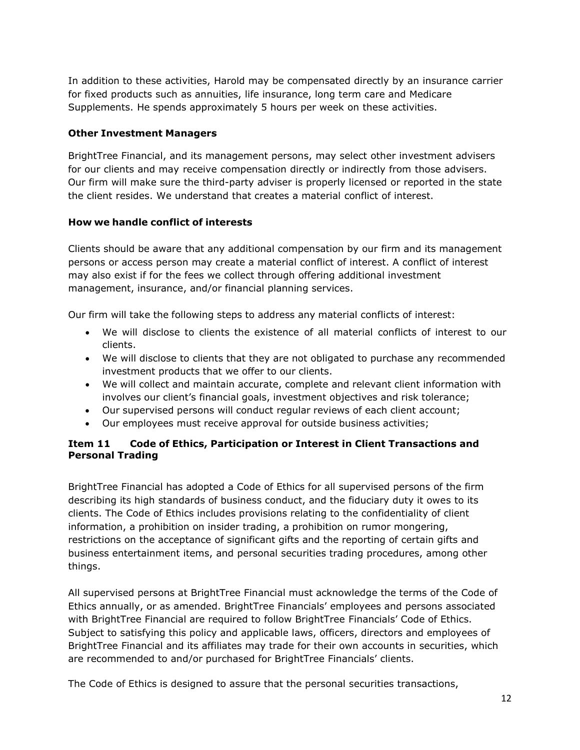In addition to these activities, Harold may be compensated directly by an insurance carrier for fixed products such as annuities, life insurance, long term care and Medicare Supplements. He spends approximately 5 hours per week on these activities.

# **Other Investment Managers**

BrightTree Financial, and its management persons, may select other investment advisers for our clients and may receive compensation directly or indirectly from those advisers. Our firm will make sure the third-party adviser is properly licensed or reported in the state the client resides. We understand that creates a material conflict of interest.

# **How we handle conflict of interests**

Clients should be aware that any additional compensation by our firm and its management persons or access person may create a material conflict of interest. A conflict of interest may also exist if for the fees we collect through offering additional investment management, insurance, and/or financial planning services.

Our firm will take the following steps to address any material conflicts of interest:

- We will disclose to clients the existence of all material conflicts of interest to our clients.
- We will disclose to clients that they are not obligated to purchase any recommended investment products that we offer to our clients.
- We will collect and maintain accurate, complete and relevant client information with involves our client's financial goals, investment objectives and risk tolerance;
- Our supervised persons will conduct regular reviews of each client account;
- Our employees must receive approval for outside business activities;

# **Item 11 Code of Ethics, Participation or Interest in Client Transactions and Personal Trading**

BrightTree Financial has adopted a Code of Ethics for all supervised persons of the firm describing its high standards of business conduct, and the fiduciary duty it owes to its clients. The Code of Ethics includes provisions relating to the confidentiality of client information, a prohibition on insider trading, a prohibition on rumor mongering, restrictions on the acceptance of significant gifts and the reporting of certain gifts and business entertainment items, and personal securities trading procedures, among other things.

All supervised persons at BrightTree Financial must acknowledge the terms of the Code of Ethics annually, or as amended. BrightTree Financials' employees and persons associated with BrightTree Financial are required to follow BrightTree Financials' Code of Ethics. Subject to satisfying this policy and applicable laws, officers, directors and employees of BrightTree Financial and its affiliates may trade for their own accounts in securities, which are recommended to and/or purchased for BrightTree Financials' clients.

The Code of Ethics is designed to assure that the personal securities transactions,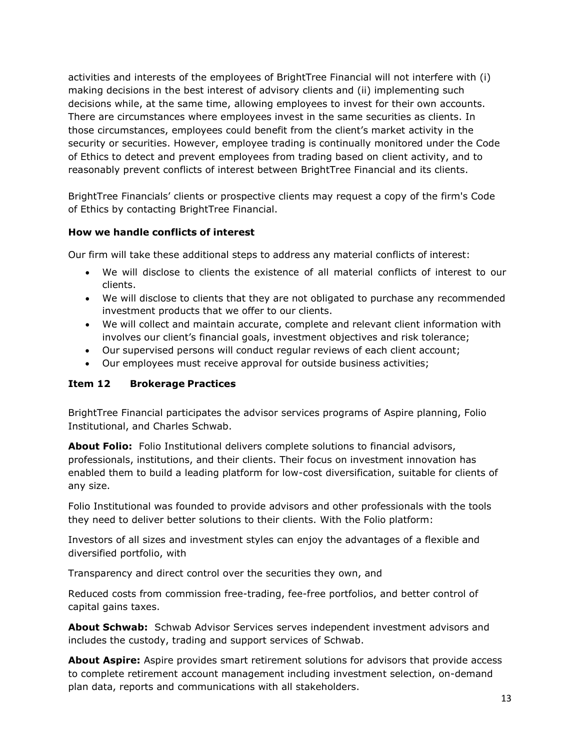activities and interests of the employees of BrightTree Financial will not interfere with (i) making decisions in the best interest of advisory clients and (ii) implementing such decisions while, at the same time, allowing employees to invest for their own accounts. There are circumstances where employees invest in the same securities as clients. In those circumstances, employees could benefit from the client's market activity in the security or securities. However, employee trading is continually monitored under the Code of Ethics to detect and prevent employees from trading based on client activity, and to reasonably prevent conflicts of interest between BrightTree Financial and its clients.

BrightTree Financials' clients or prospective clients may request a copy of the firm's Code of Ethics by contacting BrightTree Financial.

# **How we handle conflicts of interest**

Our firm will take these additional steps to address any material conflicts of interest:

- We will disclose to clients the existence of all material conflicts of interest to our clients.
- We will disclose to clients that they are not obligated to purchase any recommended investment products that we offer to our clients.
- We will collect and maintain accurate, complete and relevant client information with involves our client's financial goals, investment objectives and risk tolerance;
- Our supervised persons will conduct regular reviews of each client account;
- Our employees must receive approval for outside business activities;

# **Item 12 Brokerage Practices**

BrightTree Financial participates the advisor services programs of Aspire planning, Folio Institutional, and Charles Schwab.

**About Folio:** Folio Institutional delivers complete solutions to financial advisors, professionals, institutions, and their clients. Their focus on investment innovation has enabled them to build a leading platform for low-cost diversification, suitable for clients of any size.

Folio Institutional was founded to provide advisors and other professionals with the tools they need to deliver better solutions to their clients. With the Folio platform:

Investors of all sizes and investment styles can enjoy the advantages of a flexible and diversified portfolio, with

Transparency and direct control over the securities they own, and

Reduced costs from commission free-trading, fee-free portfolios, and better control of capital gains taxes.

**About Schwab:** Schwab Advisor Services serves independent investment advisors and includes the custody, trading and support services of Schwab.

**About Aspire:** Aspire provides smart retirement solutions for advisors that provide access to complete retirement account management including investment selection, on-demand plan data, reports and communications with all stakeholders.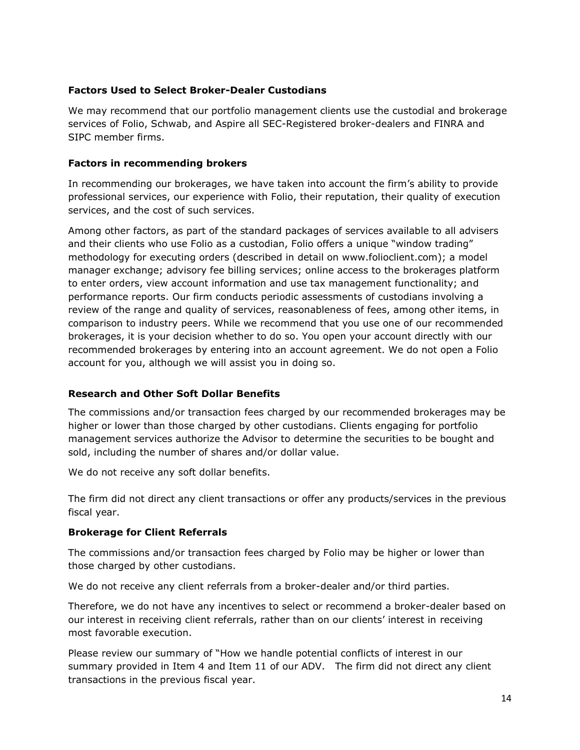# **Factors Used to Select Broker-Dealer Custodians**

We may recommend that our portfolio management clients use the custodial and brokerage services of Folio, Schwab, and Aspire all SEC-Registered broker-dealers and FINRA and SIPC member firms.

# **Factors in recommending brokers**

In recommending our brokerages, we have taken into account the firm's ability to provide professional services, our experience with Folio, their reputation, their quality of execution services, and the cost of such services.

Among other factors, as part of the standard packages of services available to all advisers and their clients who use Folio as a custodian, Folio offers a unique "window trading" methodology for executing orders (described in detail on www.folioclient.com); a model manager exchange; advisory fee billing services; online access to the brokerages platform to enter orders, view account information and use tax management functionality; and performance reports. Our firm conducts periodic assessments of custodians involving a review of the range and quality of services, reasonableness of fees, among other items, in comparison to industry peers. While we recommend that you use one of our recommended brokerages, it is your decision whether to do so. You open your account directly with our recommended brokerages by entering into an account agreement. We do not open a Folio account for you, although we will assist you in doing so.

# **Research and Other Soft Dollar Benefits**

The commissions and/or transaction fees charged by our recommended brokerages may be higher or lower than those charged by other custodians. Clients engaging for portfolio management services authorize the Advisor to determine the securities to be bought and sold, including the number of shares and/or dollar value.

We do not receive any soft dollar benefits.

The firm did not direct any client transactions or offer any products/services in the previous fiscal year.

# **Brokerage for Client Referrals**

The commissions and/or transaction fees charged by Folio may be higher or lower than those charged by other custodians.

We do not receive any client referrals from a broker-dealer and/or third parties.

Therefore, we do not have any incentives to select or recommend a broker-dealer based on our interest in receiving client referrals, rather than on our clients' interest in receiving most favorable execution.

Please review our summary of "How we handle potential conflicts of interest in our summary provided in Item 4 and Item 11 of our ADV. The firm did not direct any client transactions in the previous fiscal year.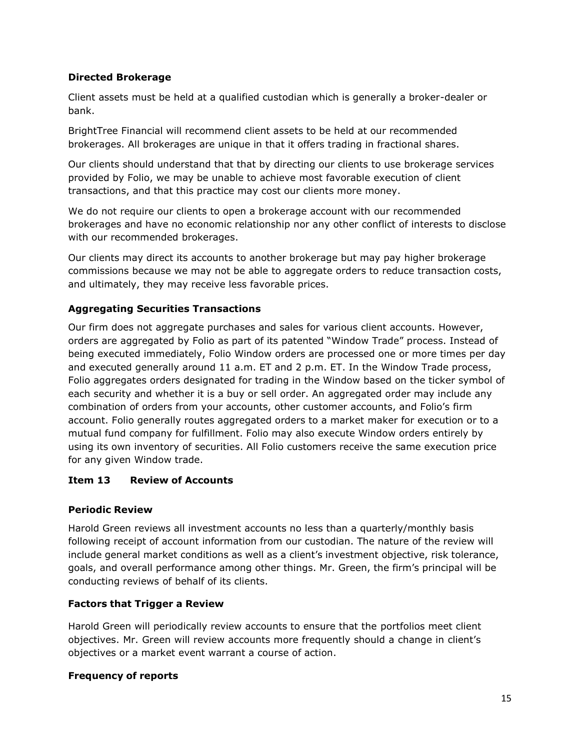# **Directed Brokerage**

Client assets must be held at a qualified custodian which is generally a broker-dealer or bank.

BrightTree Financial will recommend client assets to be held at our recommended brokerages. All brokerages are unique in that it offers trading in fractional shares.

Our clients should understand that that by directing our clients to use brokerage services provided by Folio, we may be unable to achieve most favorable execution of client transactions, and that this practice may cost our clients more money.

We do not require our clients to open a brokerage account with our recommended brokerages and have no economic relationship nor any other conflict of interests to disclose with our recommended brokerages.

Our clients may direct its accounts to another brokerage but may pay higher brokerage commissions because we may not be able to aggregate orders to reduce transaction costs, and ultimately, they may receive less favorable prices.

# **Aggregating Securities Transactions**

Our firm does not aggregate purchases and sales for various client accounts. However, orders are aggregated by Folio as part of its patented "Window Trade" process. Instead of being executed immediately, Folio Window orders are processed one or more times per day and executed generally around 11 a.m. ET and 2 p.m. ET. In the Window Trade process, Folio aggregates orders designated for trading in the Window based on the ticker symbol of each security and whether it is a buy or sell order. An aggregated order may include any combination of orders from your accounts, other customer accounts, and Folio's firm account. Folio generally routes aggregated orders to a market maker for execution or to a mutual fund company for fulfillment. Folio may also execute Window orders entirely by using its own inventory of securities. All Folio customers receive the same execution price for any given Window trade.

# **Item 13 Review of Accounts**

# **Periodic Review**

Harold Green reviews all investment accounts no less than a quarterly/monthly basis following receipt of account information from our custodian. The nature of the review will include general market conditions as well as a client's investment objective, risk tolerance, goals, and overall performance among other things. Mr. Green, the firm's principal will be conducting reviews of behalf of its clients.

# **Factors that Trigger a Review**

Harold Green will periodically review accounts to ensure that the portfolios meet client objectives. Mr. Green will review accounts more frequently should a change in client's objectives or a market event warrant a course of action.

# **Frequency of reports**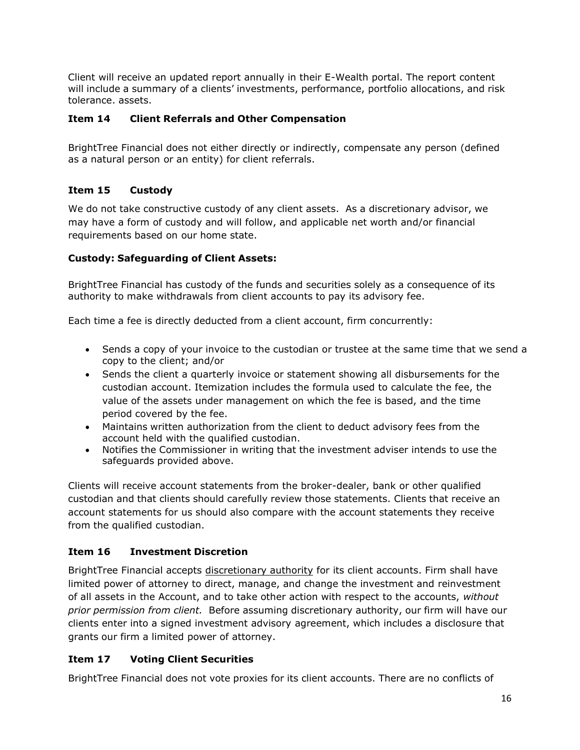Client will receive an updated report annually in their E-Wealth portal. The report content will include a summary of a clients' investments, performance, portfolio allocations, and risk tolerance. assets.

#### **Item 14 Client Referrals and Other Compensation**

BrightTree Financial does not either directly or indirectly, compensate any person (defined as a natural person or an entity) for client referrals.

# **Item 15 Custody**

We do not take constructive custody of any client assets. As a discretionary advisor, we may have a form of custody and will follow, and applicable net worth and/or financial requirements based on our home state.

# **Custody: Safeguarding of Client Assets:**

BrightTree Financial has custody of the funds and securities solely as a consequence of its authority to make withdrawals from client accounts to pay its advisory fee.

Each time a fee is directly deducted from a client account, firm concurrently:

- Sends a copy of your invoice to the custodian or trustee at the same time that we send a copy to the client; and/or
- Sends the client a quarterly invoice or statement showing all disbursements for the custodian account. Itemization includes the formula used to calculate the fee, the value of the assets under management on which the fee is based, and the time period covered by the fee.
- Maintains written authorization from the client to deduct advisory fees from the account held with the qualified custodian.
- Notifies the Commissioner in writing that the investment adviser intends to use the safeguards provided above.

Clients will receive account statements from the broker-dealer, bank or other qualified custodian and that clients should carefully review those statements. Clients that receive an account statements for us should also compare with the account statements they receive from the qualified custodian.

# **Item 16 Investment Discretion**

BrightTree Financial accepts discretionary authority for its client accounts. Firm shall have limited power of attorney to direct, manage, and change the investment and reinvestment of all assets in the Account, and to take other action with respect to the accounts, *without prior permission from client.* Before assuming discretionary authority, our firm will have our clients enter into a signed investment advisory agreement, which includes a disclosure that grants our firm a limited power of attorney.

# **Item 17 Voting Client Securities**

BrightTree Financial does not vote proxies for its client accounts. There are no conflicts of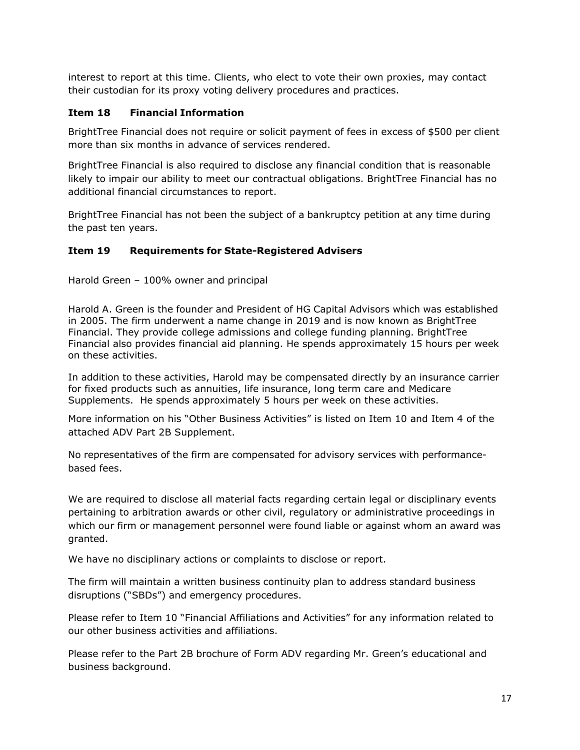interest to report at this time. Clients, who elect to vote their own proxies, may contact their custodian for its proxy voting delivery procedures and practices.

#### **Item 18 Financial Information**

BrightTree Financial does not require or solicit payment of fees in excess of \$500 per client more than six months in advance of services rendered.

BrightTree Financial is also required to disclose any financial condition that is reasonable likely to impair our ability to meet our contractual obligations. BrightTree Financial has no additional financial circumstances to report.

BrightTree Financial has not been the subject of a bankruptcy petition at any time during the past ten years.

#### **Item 19 Requirements for State-Registered Advisers**

Harold Green – 100% owner and principal

Harold A. Green is the founder and President of HG Capital Advisors which was established in 2005. The firm underwent a name change in 2019 and is now known as BrightTree Financial. They provide college admissions and college funding planning. BrightTree Financial also provides financial aid planning. He spends approximately 15 hours per week on these activities.

In addition to these activities, Harold may be compensated directly by an insurance carrier for fixed products such as annuities, life insurance, long term care and Medicare Supplements. He spends approximately 5 hours per week on these activities.

More information on his "Other Business Activities" is listed on Item 10 and Item 4 of the attached ADV Part 2B Supplement.

No representatives of the firm are compensated for advisory services with performancebased fees.

We are required to disclose all material facts regarding certain legal or disciplinary events pertaining to arbitration awards or other civil, regulatory or administrative proceedings in which our firm or management personnel were found liable or against whom an award was granted.

We have no disciplinary actions or complaints to disclose or report.

The firm will maintain a written business continuity plan to address standard business disruptions ("SBDs") and emergency procedures.

Please refer to Item 10 "Financial Affiliations and Activities" for any information related to our other business activities and affiliations.

Please refer to the Part 2B brochure of Form ADV regarding Mr. Green's educational and business background.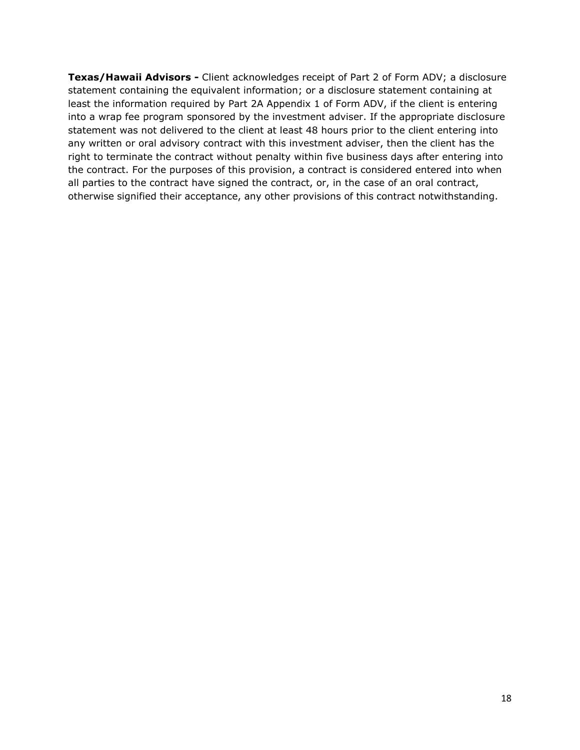**Texas/Hawaii Advisors -** Client acknowledges receipt of Part 2 of Form ADV; a disclosure statement containing the equivalent information; or a disclosure statement containing at least the information required by Part 2A Appendix 1 of Form ADV, if the client is entering into a wrap fee program sponsored by the investment adviser. If the appropriate disclosure statement was not delivered to the client at least 48 hours prior to the client entering into any written or oral advisory contract with this investment adviser, then the client has the right to terminate the contract without penalty within five business days after entering into the contract. For the purposes of this provision, a contract is considered entered into when all parties to the contract have signed the contract, or, in the case of an oral contract, otherwise signified their acceptance, any other provisions of this contract notwithstanding.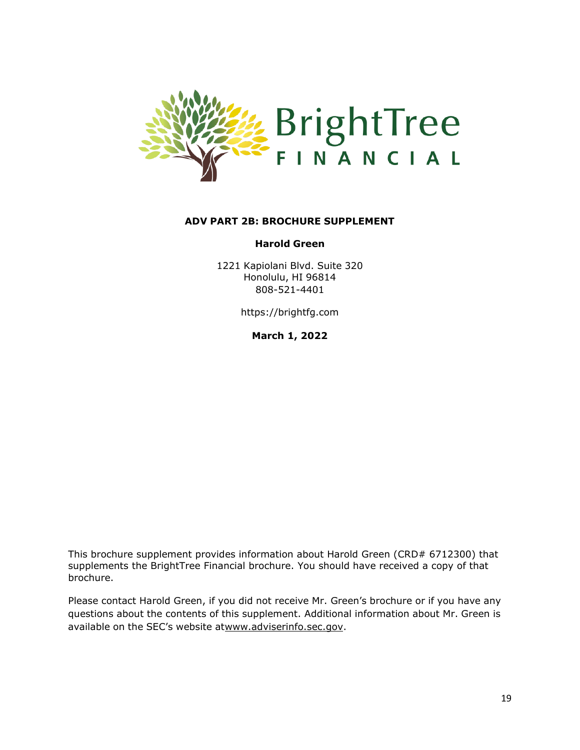

#### **ADV PART 2B: BROCHURE SUPPLEMENT**

#### **Harold Green**

1221 Kapiolani Blvd. Suite 320 Honolulu, HI 96814 808-521-4401

https://brightfg.com

**March 1, 2022**

This brochure supplement provides information about Harold Green (CRD# 6712300) that supplements the BrightTree Financial brochure. You should have received a copy of that brochure.

Please contact Harold Green, if you did not receive Mr. Green's brochure or if you have any questions about the contents of this supplement. Additional information about Mr. Green is available on the SEC's website a[twww.adviserinfo.sec.gov.](http://www.adviserinfo.sec.gov/)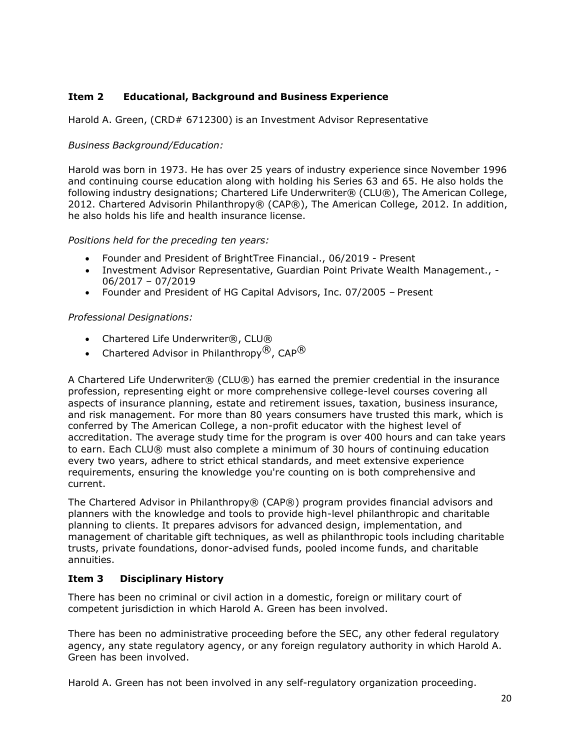# **Item 2 Educational, Background and Business Experience**

Harold A. Green, (CRD# 6712300) is an Investment Advisor Representative

# *Business Background/Education:*

Harold was born in 1973. He has over 25 years of industry experience since November 1996 and continuing course education along with holding his Series 63 and 65. He also holds the following industry designations; Chartered Life Underwriter® (CLU®), The American College, 2012. Chartered Advisorin Philanthropy® (CAP®), The American College, 2012. In addition, he also holds his life and health insurance license.

#### *Positions held for the preceding ten years:*

- Founder and President of BrightTree Financial., 06/2019 Present
- Investment Advisor Representative, Guardian Point Private Wealth Management., 06/2017 – 07/2019
- Founder and President of HG Capital Advisors, Inc. 07/2005 Present

#### *Professional Designations:*

- Chartered Life Underwriter®, CLU®
- Chartered Advisor in Philanthropy $^{(8)}$ , CAP $^{(8)}$

A Chartered Life Underwriter® (CLU®) has earned the premier credential in the insurance profession, representing eight or more comprehensive college-level courses covering all aspects of insurance planning, estate and retirement issues, taxation, business insurance, and risk management. For more than 80 years consumers have trusted this mark, which is conferred by The American College, a non-profit educator with the highest level of accreditation. The average study time for the program is over 400 hours and can take years to earn. Each CLU® must also complete a minimum of 30 hours of continuing education every two years, adhere to strict ethical standards, and meet extensive experience requirements, ensuring the knowledge you're counting on is both comprehensive and current.

The Chartered Advisor in Philanthropy® (CAP®) program provides financial advisors and planners with the knowledge and tools to provide high-level philanthropic and charitable planning to clients. It prepares advisors for advanced design, implementation, and management of charitable gift techniques, as well as philanthropic tools including charitable trusts, private foundations, donor-advised funds, pooled income funds, and charitable annuities.

# **Item 3 Disciplinary History**

There has been no criminal or civil action in a domestic, foreign or military court of competent jurisdiction in which Harold A. Green has been involved.

There has been no administrative proceeding before the SEC, any other federal regulatory agency, any state regulatory agency, or any foreign regulatory authority in which Harold A. Green has been involved.

Harold A. Green has not been involved in any self-regulatory organization proceeding.